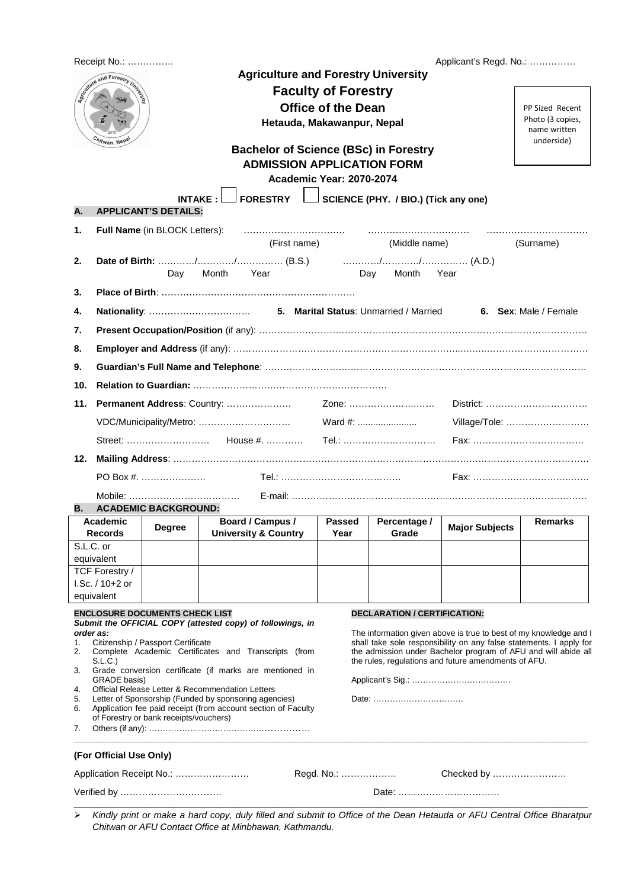| Receipt No.:                                 |                                                                                                                                                                                           |                                       |                                                               | Applicant's Regd. No.:                                                                                                                                                              |                                     |                                                                                                                                          |                                                                   |  |  |  |  |  |
|----------------------------------------------|-------------------------------------------------------------------------------------------------------------------------------------------------------------------------------------------|---------------------------------------|---------------------------------------------------------------|-------------------------------------------------------------------------------------------------------------------------------------------------------------------------------------|-------------------------------------|------------------------------------------------------------------------------------------------------------------------------------------|-------------------------------------------------------------------|--|--|--|--|--|
| Scotland and Forestry United<br>hitwan, Nepa |                                                                                                                                                                                           |                                       |                                                               | <b>Agriculture and Forestry University</b><br><b>Faculty of Forestry</b><br><b>Office of the Dean</b><br>Hetauda, Makawanpur, Nepal<br><b>Bachelor of Science (BSc) in Forestry</b> |                                     |                                                                                                                                          | PP Sized Recent<br>Photo (3 copies,<br>name written<br>underside) |  |  |  |  |  |
|                                              | <b>ADMISSION APPLICATION FORM</b><br><b>Academic Year: 2070-2074</b>                                                                                                                      |                                       |                                                               |                                                                                                                                                                                     |                                     |                                                                                                                                          |                                                                   |  |  |  |  |  |
|                                              | <b>FORESTRY</b><br>SCIENCE (PHY. / BIO.) (Tick any one)<br><b>INTAKE:</b>                                                                                                                 |                                       |                                                               |                                                                                                                                                                                     |                                     |                                                                                                                                          |                                                                   |  |  |  |  |  |
| <b>APPLICANT'S DETAILS:</b><br>А.            |                                                                                                                                                                                           |                                       |                                                               |                                                                                                                                                                                     |                                     |                                                                                                                                          |                                                                   |  |  |  |  |  |
| 1.                                           |                                                                                                                                                                                           | Full Name (in BLOCK Letters):         |                                                               |                                                                                                                                                                                     |                                     |                                                                                                                                          |                                                                   |  |  |  |  |  |
|                                              |                                                                                                                                                                                           |                                       | (First name)                                                  |                                                                                                                                                                                     | (Middle name)                       |                                                                                                                                          | (Surname)                                                         |  |  |  |  |  |
|                                              | 2.<br>Day<br>Month<br>Year<br>Day Month<br>Year                                                                                                                                           |                                       |                                                               |                                                                                                                                                                                     |                                     |                                                                                                                                          |                                                                   |  |  |  |  |  |
| 3.                                           |                                                                                                                                                                                           |                                       |                                                               |                                                                                                                                                                                     |                                     |                                                                                                                                          |                                                                   |  |  |  |  |  |
| 4.                                           | 6. Sex: Male / Female                                                                                                                                                                     |                                       |                                                               |                                                                                                                                                                                     |                                     |                                                                                                                                          |                                                                   |  |  |  |  |  |
| 7.                                           |                                                                                                                                                                                           |                                       |                                                               |                                                                                                                                                                                     |                                     |                                                                                                                                          |                                                                   |  |  |  |  |  |
| 8.                                           |                                                                                                                                                                                           |                                       |                                                               |                                                                                                                                                                                     |                                     |                                                                                                                                          |                                                                   |  |  |  |  |  |
| 9.                                           |                                                                                                                                                                                           |                                       |                                                               |                                                                                                                                                                                     |                                     |                                                                                                                                          |                                                                   |  |  |  |  |  |
| 10.                                          |                                                                                                                                                                                           |                                       |                                                               |                                                                                                                                                                                     |                                     |                                                                                                                                          |                                                                   |  |  |  |  |  |
| 11.                                          |                                                                                                                                                                                           |                                       | <b>Permanent Address: Country: </b>                           |                                                                                                                                                                                     | Zone:                               |                                                                                                                                          | District:                                                         |  |  |  |  |  |
|                                              |                                                                                                                                                                                           |                                       |                                                               |                                                                                                                                                                                     | Ward #:                             |                                                                                                                                          | Village/Tole:                                                     |  |  |  |  |  |
|                                              | Tel.:                                                                                                                                                                                     |                                       |                                                               |                                                                                                                                                                                     |                                     |                                                                                                                                          |                                                                   |  |  |  |  |  |
| 12.                                          |                                                                                                                                                                                           |                                       |                                                               |                                                                                                                                                                                     |                                     |                                                                                                                                          |                                                                   |  |  |  |  |  |
|                                              |                                                                                                                                                                                           | PO Box #.                             |                                                               |                                                                                                                                                                                     |                                     |                                                                                                                                          |                                                                   |  |  |  |  |  |
|                                              |                                                                                                                                                                                           |                                       |                                                               |                                                                                                                                                                                     |                                     |                                                                                                                                          |                                                                   |  |  |  |  |  |
| В.                                           | Academic                                                                                                                                                                                  | <b>ACADEMIC BACKGROUND:</b>           | Board / Campus /                                              | <b>Passed</b>                                                                                                                                                                       | Percentage /                        |                                                                                                                                          | Remarks                                                           |  |  |  |  |  |
|                                              | <b>Records</b>                                                                                                                                                                            | Degree                                | <b>University &amp; Country</b>                               | Year                                                                                                                                                                                | Grade                               | <b>Major Subjects</b>                                                                                                                    |                                                                   |  |  |  |  |  |
| S.L.C. or                                    | equivalent                                                                                                                                                                                |                                       |                                                               |                                                                                                                                                                                     |                                     |                                                                                                                                          |                                                                   |  |  |  |  |  |
|                                              | TCF Forestry /                                                                                                                                                                            |                                       |                                                               |                                                                                                                                                                                     |                                     |                                                                                                                                          |                                                                   |  |  |  |  |  |
|                                              | I.Sc. / 10+2 or<br>equivalent                                                                                                                                                             |                                       |                                                               |                                                                                                                                                                                     |                                     |                                                                                                                                          |                                                                   |  |  |  |  |  |
|                                              |                                                                                                                                                                                           | <b>ENCLOSURE DOCUMENTS CHECK LIST</b> |                                                               |                                                                                                                                                                                     | <b>DECLARATION / CERTIFICATION:</b> |                                                                                                                                          |                                                                   |  |  |  |  |  |
| order as:<br>1.                              |                                                                                                                                                                                           | Citizenship / Passport Certificate    | Submit the OFFICIAL COPY (attested copy) of followings, in    |                                                                                                                                                                                     |                                     | The information given above is true to best of my knowledge and I<br>shall take sole responsibility on any false statements. I apply for |                                                                   |  |  |  |  |  |
| 2.                                           | the admission under Bachelor program of AFU and will abide all<br>Complete Academic Certificates and Transcripts (from<br>the rules, regulations and future amendments of AFU.<br>S.L.C.) |                                       |                                                               |                                                                                                                                                                                     |                                     |                                                                                                                                          |                                                                   |  |  |  |  |  |
| 3.                                           | Grade conversion certificate (if marks are mentioned in<br>GRADE basis)                                                                                                                   |                                       |                                                               |                                                                                                                                                                                     |                                     |                                                                                                                                          |                                                                   |  |  |  |  |  |
| 4.<br>5.                                     | Official Release Letter & Recommendation Letters<br>Date:<br>Letter of Sponsorship (Funded by sponsoring agencies)                                                                        |                                       |                                                               |                                                                                                                                                                                     |                                     |                                                                                                                                          |                                                                   |  |  |  |  |  |
| 6.                                           |                                                                                                                                                                                           |                                       | Application fee paid receipt (from account section of Faculty |                                                                                                                                                                                     |                                     |                                                                                                                                          |                                                                   |  |  |  |  |  |
| 7.                                           | of Forestry or bank receipts/vouchers)                                                                                                                                                    |                                       |                                                               |                                                                                                                                                                                     |                                     |                                                                                                                                          |                                                                   |  |  |  |  |  |
|                                              | (For Official Use Only)                                                                                                                                                                   |                                       |                                                               |                                                                                                                                                                                     |                                     |                                                                                                                                          |                                                                   |  |  |  |  |  |
| Checked by<br>Regd. No.:                     |                                                                                                                                                                                           |                                       |                                                               |                                                                                                                                                                                     |                                     |                                                                                                                                          |                                                                   |  |  |  |  |  |
|                                              | Date:                                                                                                                                                                                     |                                       |                                                               |                                                                                                                                                                                     |                                     |                                                                                                                                          |                                                                   |  |  |  |  |  |
|                                              | Kindly print or make a hard copy, duly filled and submit to Office of the Dean Hetauda or AFU Central Office Bharatpur                                                                    |                                       |                                                               |                                                                                                                                                                                     |                                     |                                                                                                                                          |                                                                   |  |  |  |  |  |

Chitwan or AFU Contact Office at Minbhawan, Kathmandu.